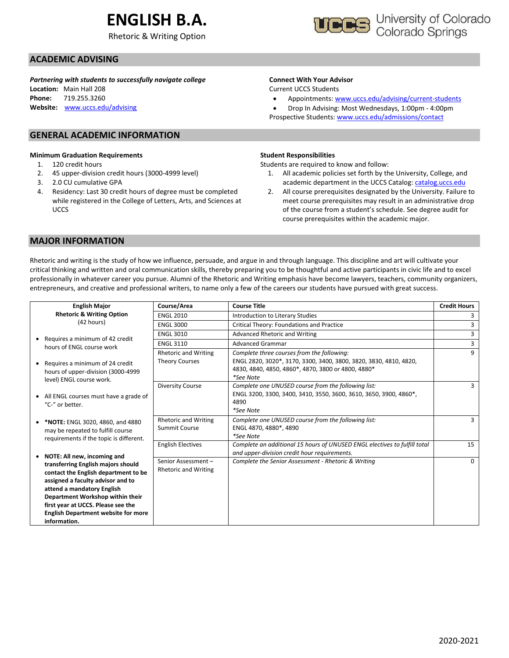# **ENGLISH B.A.**

Rhetoric & Writing Option



### **ACADEMIC ADVISING**

*Partnering with students to successfully navigate college*

**Location:** Main Hall 208 **Phone:** 719.255.3260 **Website:** [www.uccs.edu/advising](http://www.uccs.edu/advising)

#### **GENERAL ACADEMIC INFORMATION**

#### **Minimum Graduation Requirements**

- 1. 120 credit hours
- 2. 45 upper-division credit hours (3000-4999 level)
- 3. 2.0 CU cumulative GPA
- 4. Residency: Last 30 credit hours of degree must be completed while registered in the College of Letters, Arts, and Sciences at UCCS

#### **Connect With Your Advisor**

Current UCCS Students

• Appointments: [www.uccs.edu/advising/current-students](http://www.uccs.edu/advising/current-students)

• Drop In Advising: Most Wednesdays, 1:00pm - 4:00pm Prospective Students: [www.uccs.edu/admissions/contact](http://www.uccs.edu/admissions/contact)

#### **Student Responsibilities**

Students are required to know and follow:

- 1. All academic policies set forth by the University, College, and academic department in the UCCS Catalog[: catalog.uccs.edu](file://///columbia/dept/Success/Advising%20Guides/197%20Advising%20Guides/catalog.uccs.edu)
- 2. All course prerequisites designated by the University. Failure to meet course prerequisites may result in an administrative drop of the course from a student's schedule. See degree audit for course prerequisites within the academic major.

#### **MAJOR INFORMATION**

Rhetoric and writing is the study of how we influence, persuade, and argue in and through language. This discipline and art will cultivate your critical thinking and written and oral communication skills, thereby preparing you to be thoughtful and active participants in civic life and to excel professionally in whatever career you pursue. Alumni of the Rhetoric and Writing emphasis have become lawyers, teachers, community organizers, entrepreneurs, and creative and professional writers, to name only a few of the careers our students have pursued with great success.

| <b>English Major</b>                                                                                                                                                                                                                                                                  | Course/Area                                          | <b>Course Title</b>                                                                                                                                                                | <b>Credit Hours</b> |
|---------------------------------------------------------------------------------------------------------------------------------------------------------------------------------------------------------------------------------------------------------------------------------------|------------------------------------------------------|------------------------------------------------------------------------------------------------------------------------------------------------------------------------------------|---------------------|
| <b>Rhetoric &amp; Writing Option</b>                                                                                                                                                                                                                                                  | <b>ENGL 2010</b>                                     | Introduction to Literary Studies                                                                                                                                                   |                     |
| (42 hours)                                                                                                                                                                                                                                                                            | <b>ENGL 3000</b>                                     | Critical Theory: Foundations and Practice                                                                                                                                          |                     |
|                                                                                                                                                                                                                                                                                       | <b>ENGL 3010</b>                                     | Advanced Rhetoric and Writing                                                                                                                                                      | 3                   |
| Requires a minimum of 42 credit<br>hours of ENGL course work                                                                                                                                                                                                                          | <b>ENGL 3110</b>                                     | <b>Advanced Grammar</b>                                                                                                                                                            | 3                   |
| Requires a minimum of 24 credit<br>hours of upper-division (3000-4999                                                                                                                                                                                                                 | <b>Rhetoric and Writing</b><br><b>Theory Courses</b> | Complete three courses from the following:<br>ENGL 2820, 3020*, 3170, 3300, 3400, 3800, 3820, 3830, 4810, 4820,<br>4830, 4840, 4850, 4860*, 4870, 3800 or 4800, 4880*<br>*See Note | 9                   |
| level) ENGL course work.<br>• All ENGL courses must have a grade of<br>"C-" or better.                                                                                                                                                                                                | <b>Diversity Course</b>                              | Complete one UNUSED course from the following list:<br>ENGL 3200, 3300, 3400, 3410, 3550, 3600, 3610, 3650, 3900, 4860*,<br>4890<br>*See Note                                      |                     |
| *NOTE: ENGL 3020, 4860, and 4880<br>may be repeated to fulfill course<br>requirements if the topic is different.                                                                                                                                                                      | <b>Rhetoric and Writing</b><br>Summit Course         | Complete one UNUSED course from the following list:<br>ENGL 4870, 4880*, 4890<br>*See Note                                                                                         | 3                   |
| NOTE: All new, incoming and                                                                                                                                                                                                                                                           | <b>English Electives</b>                             | Complete an additional 15 hours of UNUSED ENGL electives to fulfill total<br>and upper-division credit hour requirements.                                                          | 15                  |
| transferring English majors should<br>contact the English department to be<br>assigned a faculty advisor and to<br>attend a mandatory English<br>Department Workshop within their<br>first year at UCCS. Please see the<br><b>English Department website for more</b><br>information. | Senior Assessment -<br><b>Rhetoric and Writing</b>   | Complete the Senior Assessment - Rhetoric & Writing                                                                                                                                | $\Omega$            |